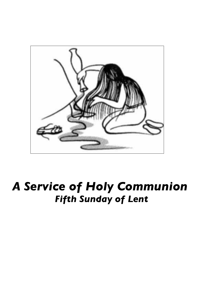

# *A Service of Holy Communion Fifth Sunday of Lent*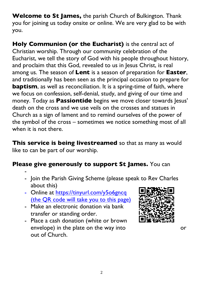**Welcome to St James,** the parish Church of Bulkington. Thank you for joining us today onsite or online. We are very glad to be with you.

**Holy Communion (or the Eucharist)** is the central act of Christian worship. Through our community celebration of the Eucharist, we tell the story of God with his people throughout history, and proclaim that this God, revealed to us in Jesus Christ, is real among us. The season of **Lent** is a season of preparation for **Easter**, and traditionally has been seen as the principal occasion to prepare for **baptism**, as well as reconciliation. It is a spring-time of faith, where we focus on confession, self-denial, study, and giving of our time and money. Today as **Passiontide** begins we move closer towards Jesus' death on the cross and we use veils on the crosses and statues in Church as a sign of lament and to remind ourselves of the power of the symbol of the cross – sometimes we notice something most of all when it is not there

**This service is being livestreamed** so that as many as would like to can be part of our worship.

## **Please give generously to support St James.** You can

- Join the Parish Giving Scheme (please speak to Rev Charles about this)
- Online at https://tinyurl.com/y5o6gncq (the QR code will take you to this page)
- Make an electronic donation via bank transfer or standing order.

-

- Place a cash donation (white or brown envelope) in the plate on the way into or out of Church.

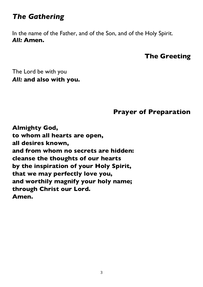# *The Gathering*

In the name of the Father, and of the Son, and of the Holy Spirit. *All:* **Amen.**

#### **The Greeting**

The Lord be with you *All:* **and also with you.**

#### **Prayer of Preparation**

**Almighty God, to whom all hearts are open, all desires known, and from whom no secrets are hidden: cleanse the thoughts of our hearts by the inspiration of your Holy Spirit, that we may perfectly love you, and worthily magnify your holy name; through Christ our Lord. Amen.**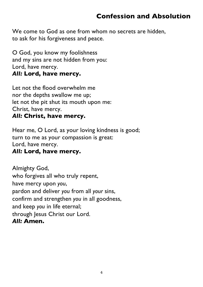## **Confession and Absolution**

We come to God as one from whom no secrets are hidden, to ask for his forgiveness and peace.

O God, you know my foolishness and my sins are not hidden from you: Lord, have mercy. *All:* **Lord, have mercy.**

Let not the flood overwhelm me nor the depths swallow me up; let not the pit shut its mouth upon me: Christ, have mercy.

#### *All:* **Christ, have mercy.**

Hear me, O Lord, as your loving kindness is good; turn to me as your compassion is great: Lord, have mercy.

#### *All:* **Lord, have mercy.**

Almighty God, who forgives all who truly repent, have mercy upon *you*, pardon and deliver *you* from all *your* sins, confirm and strengthen *you* in all goodness, and keep *you* in life eternal; through Jesus Christ our Lord. *All:* **Amen.**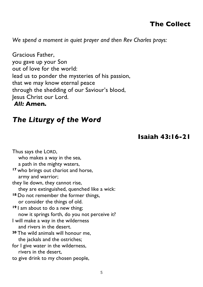## **The Collect**

*We spend a moment in quiet prayer and then Rev Charles prays:* 

Gracious Father, you gave up your Son out of love for the world: lead us to ponder the mysteries of his passion, that we may know eternal peace through the shedding of our Saviour's blood, Jesus Christ our Lord.

#### *All:* **Amen.**

# *The Liturgy of the Word*

#### **Isaiah 43:16-21**

| Thus says the LORD,                              |
|--------------------------------------------------|
| who makes a way in the sea,                      |
| a path in the mighty waters,                     |
| <sup>17</sup> who brings out chariot and horse,  |
| army and warrior;                                |
| they lie down, they cannot rise,                 |
| they are extinguished, quenched like a wick:     |
| <sup>18</sup> Do not remember the former things, |
| or consider the things of old.                   |
| <sup>19</sup> am about to do a new thing;        |
| now it springs forth, do you not perceive it?    |
| I will make a way in the wilderness              |
| and rivers in the desert.                        |
| 20 The wild animals will honour me,              |
| the jackals and the ostriches;                   |
| for I give water in the wilderness,              |
| rivers in the desert,                            |
| to give drink to my chosen people,               |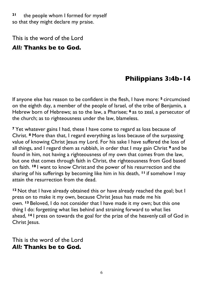**<sup>21</sup>** the people whom I formed for myself so that they might declare my praise.

This is the word of the Lord

#### *All:* **Thanks be to God.**

## **Philippians 3:4b-14**

If anyone else has reason to be confident in the flesh, I have more: **<sup>5</sup>** circumcised on the eighth day, a member of the people of Israel, of the tribe of Benjamin, a Hebrew born of Hebrews; as to the law, a Pharisee; **<sup>6</sup>** as to zeal, a persecutor of the church; as to righteousness under the law, blameless.

**<sup>7</sup>** Yet whatever gains I had, these I have come to regard as loss because of Christ. **<sup>8</sup>** More than that, I regard everything as loss because of the surpassing value of knowing Christ Jesus my Lord. For his sake I have suffered the loss of all things, and I regard them as rubbish, in order that I may gain Christ **<sup>9</sup>** and be found in him, not having a righteousness of my own that comes from the law, but one that comes through faith in Christ, the righteousness from God based on faith. **<sup>10</sup>** I want to know Christ and the power of his resurrection and the sharing of his sufferings by becoming like him in his death, **<sup>11</sup>** if somehow I may attain the resurrection from the dead.

**<sup>12</sup>** Not that I have already obtained this or have already reached the goal; but I press on to make it my own, because Christ Jesus has made me his own. **<sup>13</sup>** Beloved, I do not consider that I have made it my own; but this one thing I do: forgetting what lies behind and straining forward to what lies ahead, **<sup>14</sup>** I press on towards the goal for the prize of the heavenly call of God in Christ Jesus.

This is the word of the Lord *All:* **Thanks be to God.**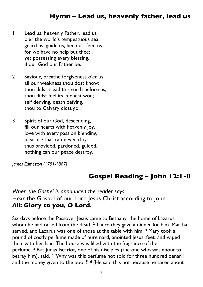## **Hymn – Lead us, heavenly father, lead us**

- 1 Lead us, heavenly Father, lead us o'er the world's tempestuous sea; guard us, guide us, keep us, feed us for we have no help but thee; yet possessing every blessing, if our God our Father be.
- 2 Saviour, breathe forgiveness o'er us; all our weakness thou dost know; thou didst tread this earth before us, thou didst feel its keenest woe; self denying, death defying, thou to Calvary didst go.
- 3 Spirit of our God, descending, fill our hearts with heavenly joy, love with every passion blending, pleasure that can never cloy: thus provided, pardoned, guided, nothing can our peace destroy.

*James Edmeston (1791-1867)*

## **Gospel Reading – John 12:1-8**

*When the Gospel is announced the reader says* Hear the Gospel of our Lord Jesus Christ according to John. *All***: Glory to you, O Lord.**

Six days before the Passover Jesus came to Bethany, the home of Lazarus, whom he had raised from the dead. **<sup>2</sup>** There they gave a dinner for him. Martha served, and Lazarus was one of those at the table with him. **<sup>3</sup>** Mary took a pound of costly perfume made of pure nard, anointed Jesus' feet, and wiped them with her hair. The house was filled with the fragrance of the perfume. **<sup>4</sup>** But Judas Iscariot, one of his disciples (the one who was about to betray him), said, **<sup>5</sup>** 'Why was this perfume not sold for three hundred denarii and the money given to the poor?' **<sup>6</sup>** (He said this not because he cared about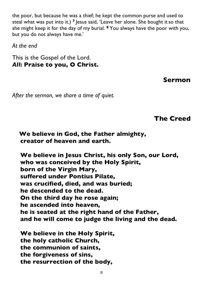the poor, but because he was a thief; he kept the common purse and used to steal what was put into it.) <sup>7</sup> lesus said, 'Leave her alone. She bought it so that she might keep it for the day of my burial. **<sup>8</sup>** You always have the poor with you, but you do not always have me.'

*At the end*

This is the Gospel of the Lord. *All***: Praise to you, O Christ.**

**Sermon**

*After the sermon, we share a time of quiet.*

**The Creed**

**We believe in God, the Father almighty, creator of heaven and earth.**

**We believe in Jesus Christ, his only Son, our Lord, who was conceived by the Holy Spirit, born of the Virgin Mary, suffered under Pontius Pilate, was crucified, died, and was buried; he descended to the dead. On the third day he rose again; he ascended into heaven, he is seated at the right hand of the Father, and he will come to judge the living and the dead.**

**We believe in the Holy Spirit, the holy catholic Church, the communion of saints, the forgiveness of sins, the resurrection of the body,**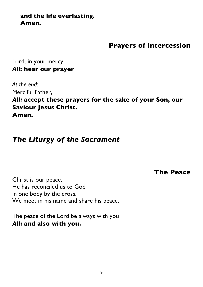#### **and the life everlasting. Amen.**

## **Prayers of Intercession**

Lord, in your mercy *All***: hear our prayer**

*At the end:* Merciful Father, *All:* **accept these prayers for the sake of your Son, our Saviour Jesus Christ. Amen.**

# *The Liturgy of the Sacrament*

**The Peace**

Christ is our peace. He has reconciled us to God in one body by the cross. We meet in his name and share his peace.

The peace of the Lord be always with you *All***: and also with you.**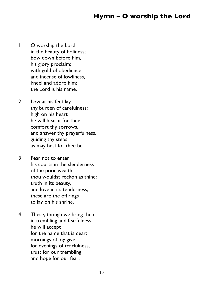## **Hymn – O worship the Lord**

- 1 O worship the Lord in the beauty of holiness; bow down before him, his glory proclaim; with gold of obedience and incense of lowliness, kneel and adore him: the Lord is his name.
- 2 Low at his feet lay thy burden of carefulness: high on his heart he will bear it for thee, comfort thy sorrows, and answer thy prayerfulness, guiding thy steps as may best for thee be.
- 3 Fear not to enter his courts in the slenderness of the poor wealth thou wouldst reckon as thine: truth in its beauty, and love in its tenderness, these are the off rings to lay on his shrine.
- 4 These, though we bring them in trembling and fearfulness, he will accept for the name that is dear; mornings of joy give for evenings of tearfulness, trust for our trembling and hope for our fear.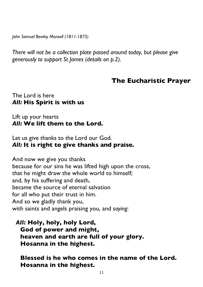*John Samuel Bewley Monsell (1811-1875)*

*There will not be a collection plate passed around today, but please give generously to support St James (details on p.2).*

#### **The Eucharistic Prayer**

#### The Lord is here *All:* **His Spirit is with us**

#### Lift up your hearts *All:* **We lift them to the Lord.**

Let us give thanks to the Lord our God. *All:* **It is right to give thanks and praise.**

And now we give you thanks because for our sins he was lifted high upon the cross, that he might draw the whole world to himself; and, by his suffering and death, became the source of eternal salvation for all who put their trust in him. And so we gladly thank you, with saints and angels praising you, and *saying*:

*All:* **Holy, holy, holy Lord, God of power and might, heaven and earth are full of your glory. Hosanna in the highest.**

**Blessed is he who comes in the name of the Lord. Hosanna in the highest.**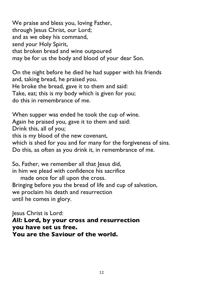We praise and bless you, loving Father, through Jesus Christ, our Lord; and as we obey his command, send your Holy Spirit, that broken bread and wine outpoured may be for us the body and blood of your dear Son.

On the night before he died he had supper with his friends and, taking bread, he praised you. He broke the bread, gave it to them and said: Take, eat; this is my body which is given for you; do this in remembrance of me.

When supper was ended he took the cup of wine. Again he praised you, gave it to them and said: Drink this, all of you; this is my blood of the new covenant, which is shed for you and for many for the forgiveness of sins. Do this, as often as you drink it, in remembrance of me.

So, Father, we remember all that Jesus did, in him we plead with confidence his sacrifice

made once for all upon the cross. Bringing before you the bread of life and cup of salvation, we proclaim his death and resurrection until he comes in glory.

Jesus Christ is Lord: *All:* **Lord, by your cross and resurrection you have set us free. You are the Saviour of the world.**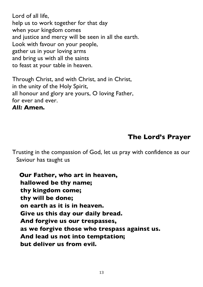Lord of all life, help us to work together for that day when your kingdom comes and justice and mercy will be seen in all the earth. Look with favour on your people, gather us in your loving arms and bring us with all the saints to feast at your table in heaven.

Through Christ, and with Christ, and in Christ, in the unity of the Holy Spirit, all honour and glory are yours, O loving Father, for ever and ever.

#### *All:* **Amen.**

## **The Lord's Prayer**

Trusting in the compassion of God, let us pray with confidence as our Saviour has taught us

**Our Father, who art in heaven, hallowed be thy name; thy kingdom come; thy will be done; on earth as it is in heaven. Give us this day our daily bread. And forgive us our trespasses, as we forgive those who trespass against us. And lead us not into temptation; but deliver us from evil.**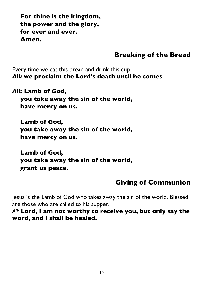**For thine is the kingdom, the power and the glory, for ever and ever. Amen.**

## **Breaking of the Bread**

Every time we eat this bread and drink this cup *All:* **we proclaim the Lord's death until he comes**

*All***: Lamb of God, you take away the sin of the world, have mercy on us.**

**Lamb of God, you take away the sin of the world, have mercy on us.**

**Lamb of God, you take away the sin of the world, grant us peace.**

# **Giving of Communion**

Jesus is the Lamb of God who takes away the sin of the world. Blessed are those who are called to his supper.

*All:* **Lord, I am not worthy to receive you, but only say the word, and I shall be healed.**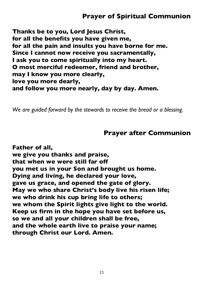**Thanks be to you, Lord Jesus Christ, for all the benefits you have given me, for all the pain and insults you have borne for me. Since I cannot now receive you sacramentally, I ask you to come spiritually into my heart. O most merciful redeemer, friend and brother, may I know you more clearly, love you more dearly, and follow you more nearly, day by day. Amen.**

*We are guided forward by the stewards to receive the bread or a blessing.*

#### **Prayer after Communion**

**Father of all, we give you thanks and praise, that when we were still far off you met us in your Son and brought us home. Dying and living, he declared your love, gave us grace, and opened the gate of glory. May we who share Christ's body live his risen life; we who drink his cup bring life to others; we whom the Spirit lights give light to the world. Keep us firm in the hope you have set before us, so we and all your children shall be free, and the whole earth live to praise your name; through Christ our Lord. Amen.**